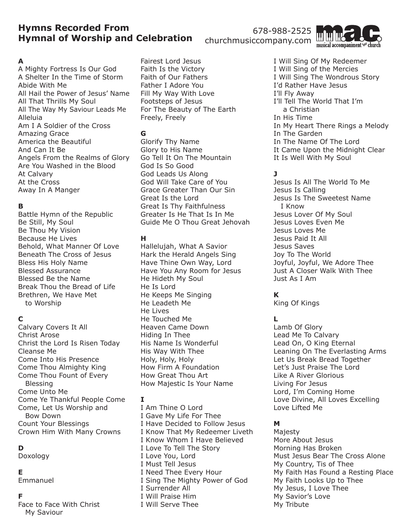# **Hymns Recorded From Hymnal of Worship and Celebration**

### **A**

A Mighty Fortress Is Our God A Shelter In the Time of Storm Abide With Me All Hail the Power of Jesus' Name All That Thrills My Soul All The Way My Saviour Leads Me Alleluia Am I A Soldier of the Cross Amazing Grace America the Beautiful And Can It Be Angels From the Realms of Glory Are You Washed in the Blood At Calvary At the Cross Away In A Manger

## **B**

Battle Hymn of the Republic Be Still, My Soul Be Thou My Vision Because He Lives Behold, What Manner Of Love Beneath The Cross of Jesus Bless His Holy Name Blessed Assurance Blessed Be the Name Break Thou the Bread of Life Brethren, We Have Met to Worship

### **C**

Calvary Covers It All Christ Arose Christ the Lord Is Risen Today Cleanse Me Come Into His Presence Come Thou Almighty King Come Thou Fount of Every Blessing Come Unto Me Come Ye Thankful People Come Come, Let Us Worship and Bow Down Count Your Blessings Crown Him With Many Crowns

## **D**

Doxology

#### **E**

Emmanuel

#### **F**

Face to Face With Christ My Saviour

Fairest Lord Jesus Faith Is the Victory Faith of Our Fathers Father I Adore You Fill My Way With Love Footsteps of Jesus For The Beauty of The Earth Freely, Freely

## **G**

Glorify Thy Name Glory to His Name Go Tell It On The Mountain God Is So Good God Leads Us Along God Will Take Care of You Grace Greater Than Our Sin Great Is the Lord Great Is Thy Faithfulness Greater Is He That Is In Me Guide Me O Thou Great Jehovah

### **H**

Hallelujah, What A Savior Hark the Herald Angels Sing Have Thine Own Way, Lord Have You Any Room for Jesus He Hideth My Soul He Is Lord He Keeps Me Singing He Leadeth Me He Lives He Touched Me Heaven Came Down Hiding In Thee His Name Is Wonderful His Way With Thee Holy, Holy, Holy How Firm A Foundation How Great Thou Art How Majestic Is Your Name

### **I**

I Am Thine O Lord I Gave My Life For Thee I Have Decided to Follow Jesus I Know That My Redeemer Liveth I Know Whom I Have Believed I Love To Tell The Story I Love You, Lord I Must Tell Jesus I Need Thee Every Hour I Sing The Mighty Power of God I Surrender All I Will Praise Him I Will Serve Thee

I Will Sing Of My Redeemer I Will Sing of the Mercies I Will Sing The Wondrous Story I'd Rather Have Jesus I'll Fly Away I'll Tell The World That I'm a Christian In His Time In My Heart There Rings a Melody In The Garden In The Name Of The Lord It Came Upon the Midnight Clear It Is Well With My Soul

# **J**

Jesus Is All The World To Me Jesus Is Calling Jesus Is The Sweetest Name I Know Jesus Lover Of My Soul Jesus Loves Even Me Jesus Loves Me Jesus Paid It All Jesus Saves Joy To The World Joyful, Joyful, We Adore Thee Just A Closer Walk With Thee Just As I Am

# **K**

King Of Kings

# **L**

Lamb Of Glory Lead Me To Calvary Lead On, O King Eternal Leaning On The Everlasting Arms Let Us Break Bread Together Let's Just Praise The Lord Like A River Glorious Living For Jesus Lord, I'm Coming Home Love Divine, All Loves Excelling Love Lifted Me

### **M**

Majesty More About Jesus Morning Has Broken Must Jesus Bear The Cross Alone My Country, Tis of Thee My Faith Has Found a Resting Place My Faith Looks Up to Thee My Jesus, I Love Thee My Savior's Love My Tribute